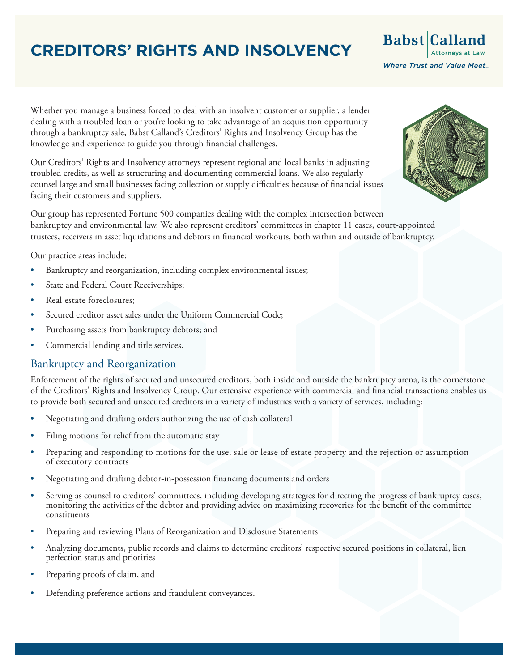# **CREDITORS' RIGHTS AND INSOLVENCY**

Whether you manage a business forced to deal with an insolvent customer or supplier, a lender dealing with a troubled loan or you're looking to take advantage of an acquisition opportunity through a bankruptcy sale, Babst Calland's Creditors' Rights and Insolvency Group has the knowledge and experience to guide you through financial challenges.

Our Creditors' Rights and Insolvency attorneys represent regional and local banks in adjusting troubled credits, as well as structuring and documenting commercial loans. We also regularly counsel large and small businesses facing collection or supply difficulties because of financial issues facing their customers and suppliers.

Our group has represented Fortune 500 companies dealing with the complex intersection between bankruptcy and environmental law. We also represent creditors' committees in chapter 11 cases, court-appointed trustees, receivers in asset liquidations and debtors in financial workouts, both within and outside of bankruptcy.

Our practice areas include:

- Bankruptcy and reorganization, including complex environmental issues;
- State and Federal Court Receiverships;
- Real estate foreclosures;
- Secured creditor asset sales under the Uniform Commercial Code;
- Purchasing assets from bankruptcy debtors; and
- Commercial lending and title services.

### Bankruptcy and Reorganization

Enforcement of the rights of secured and unsecured creditors, both inside and outside the bankruptcy arena, is the cornerstone of the Creditors' Rights and Insolvency Group. Our extensive experience with commercial and financial transactions enables us to provide both secured and unsecured creditors in a variety of industries with a variety of services, including:

- Negotiating and drafting orders authorizing the use of cash collateral
- Filing motions for relief from the automatic stay
- Preparing and responding to motions for the use, sale or lease of estate property and the rejection or assumption of executory contracts
- Negotiating and drafting debtor-in-possession financing documents and orders
- Serving as counsel to creditors' committees, including developing strategies for directing the progress of bankruptcy cases, monitoring the activities of the debtor and providing advice on maximizing recoveries for the benefit of the committee constituents
- Preparing and reviewing Plans of Reorganization and Disclosure Statements
- Analyzing documents, public records and claims to determine creditors' respective secured positions in collateral, lien perfection status and priorities
- Preparing proofs of claim, and
- Defending preference actions and fraudulent conveyances.



**Babst Calland** 

**Where Trust and Value Meet.**